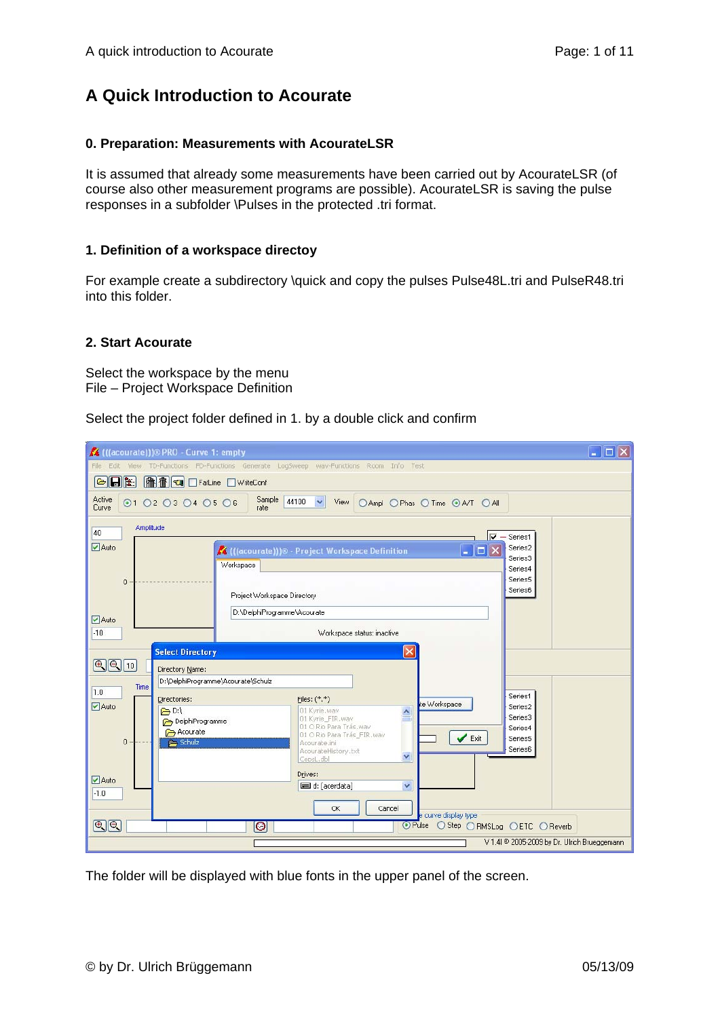# **A Quick Introduction to Acourate**

### **0. Preparation: Measurements with AcourateLSR**

It is assumed that already some measurements have been carried out by AcourateLSR (of course also other measurement programs are possible). AcourateLSR is saving the pulse responses in a subfolder \Pulses in the protected .tri format.

#### **1. Definition of a workspace directoy**

For example create a subdirectory \quick and copy the pulses Pulse48L.tri and PulseR48.tri into this folder.

#### **2. Start Acourate**

Select the workspace by the menu File – Project Workspace Definition

Select the project folder defined in 1. by a double click and confirm

| $\Box$ $\Box$ $\times$<br>K (((acourate)))® PRO - Curve 1: empty                                                              |  |  |  |
|-------------------------------------------------------------------------------------------------------------------------------|--|--|--|
| View TD-Functions FD-Functions Generate LogSweep way-Functions Room Info Test<br>Edit<br>File                                 |  |  |  |
| <b>OF THE EXPLICE EXPIRE EXPIRE EXPIRE EXPIRE EXPIRE EXPIRE</b><br>$\blacksquare\blacksquare\blacksquare$                     |  |  |  |
| Active<br>Sample<br>44100 $\sim$<br>◎1 ○2 ○3 ○4 ○5 ○6<br>View<br>○ Ampl ○ Phas ○ Time ● A/T ○ All<br>Curve<br>rate            |  |  |  |
| Amplitude<br>40<br>$\overline{\mathsf{v}}$ - Series1                                                                          |  |  |  |
| Auto<br>Series2<br>$\  \Box \  \times$<br>K (((acourate)))® - Project Workspace Definition<br>ь                               |  |  |  |
| Series3<br>Workspace<br>Series4                                                                                               |  |  |  |
| Series5<br>$\mathbf{0}$<br>Series6                                                                                            |  |  |  |
| Project Workspace Directory                                                                                                   |  |  |  |
| D:\DelphiProgramme\Acourate<br>$\triangledown$ Auto                                                                           |  |  |  |
| $-10$<br>Workspace status: inactive                                                                                           |  |  |  |
| <b>Select Directory</b>                                                                                                       |  |  |  |
| $\mathbb{Q}[\mathbb{Q}]$ 10<br>Directory Name:                                                                                |  |  |  |
| D:\DelphiProgramme\Acourate\Schulz<br>Time<br>1.0<br>Series1                                                                  |  |  |  |
| Files: (*,*)<br>Directories:<br>te Workspace<br>$\blacktriangleright$ Auto<br>Series2<br>$\bigoplus$ D:\<br>01 Kyrie.way<br>Ą |  |  |  |
| Series3<br>01 Kyrie_FIR.wav<br>DelphiProgramme<br>01 O Rio Para Trás.wav<br>Series4                                           |  |  |  |
| Acourate<br>01 O Rio Para Trás_FIR.way<br>✔<br>Exit<br>Series5<br>$\mathbf{0}$<br><b>Red</b> , Schulz<br>Acourate.ini         |  |  |  |
| Series6<br>AcourateHistory.txt<br>$\checkmark$<br>CepsL.dbl                                                                   |  |  |  |
| Drives:                                                                                                                       |  |  |  |
| $\blacktriangleright$ Auto<br>ed: [acerdata]<br>$\checkmark$<br>$-1.0$                                                        |  |  |  |
| OK<br>Cancel                                                                                                                  |  |  |  |
| e curve display type<br>$\boxed{\mathbb{Q}[\mathbb{Q}]}$<br>$\bullet$<br>O Pulse<br>○Step ○RMSLog ○ETC ○Reverb                |  |  |  |
| V 1.41 © 2005-2009 by Dr. Ulrich Brueggemann                                                                                  |  |  |  |

The folder will be displayed with blue fonts in the upper panel of the screen.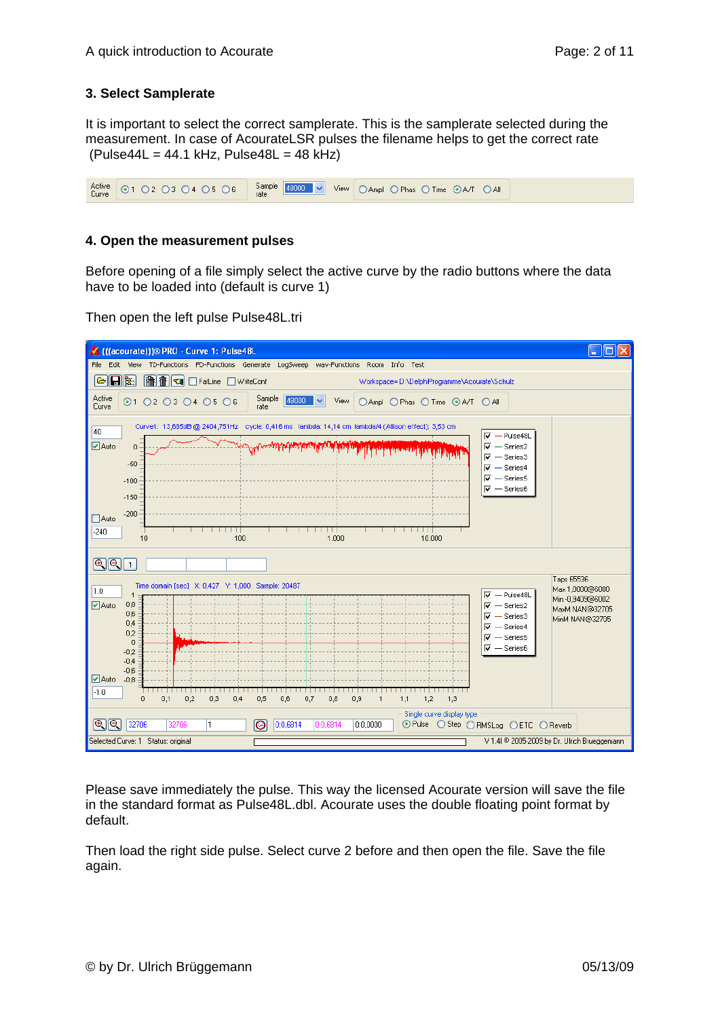## **3. Select Samplerate**

It is important to select the correct samplerate. This is the samplerate selected during the measurement. In case of AcourateLSR pulses the filename helps to get the correct rate  $(Pulse44L = 44.1 kHz, Pulse48L = 48 kHz)$ 



### **4. Open the measurement pulses**

Before opening of a file simply select the active curve by the radio buttons where the data have to be loaded into (default is curve 1)

Then open the left pulse Pulse48L.tri



Please save immediately the pulse. This way the licensed Acourate version will save the file in the standard format as Pulse48L.dbl. Acourate uses the double floating point format by default.

Then load the right side pulse. Select curve 2 before and then open the file. Save the file again.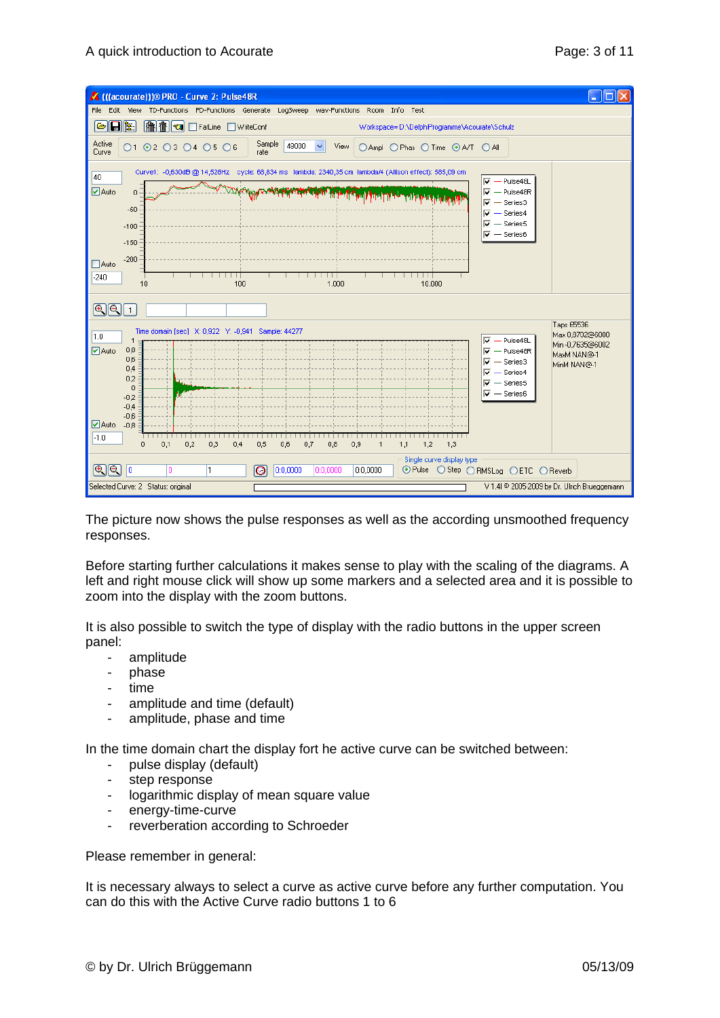

The picture now shows the pulse responses as well as the according unsmoothed frequency responses.

Before starting further calculations it makes sense to play with the scaling of the diagrams. A left and right mouse click will show up some markers and a selected area and it is possible to zoom into the display with the zoom buttons.

It is also possible to switch the type of display with the radio buttons in the upper screen panel:

- amplitude
- phase
- time
- amplitude and time (default)
- amplitude, phase and time

In the time domain chart the display fort he active curve can be switched between:

- pulse display (default)
- step response
- logarithmic display of mean square value
- energy-time-curve
- reverberation according to Schroeder

Please remember in general:

It is necessary always to select a curve as active curve before any further computation. You can do this with the Active Curve radio buttons 1 to 6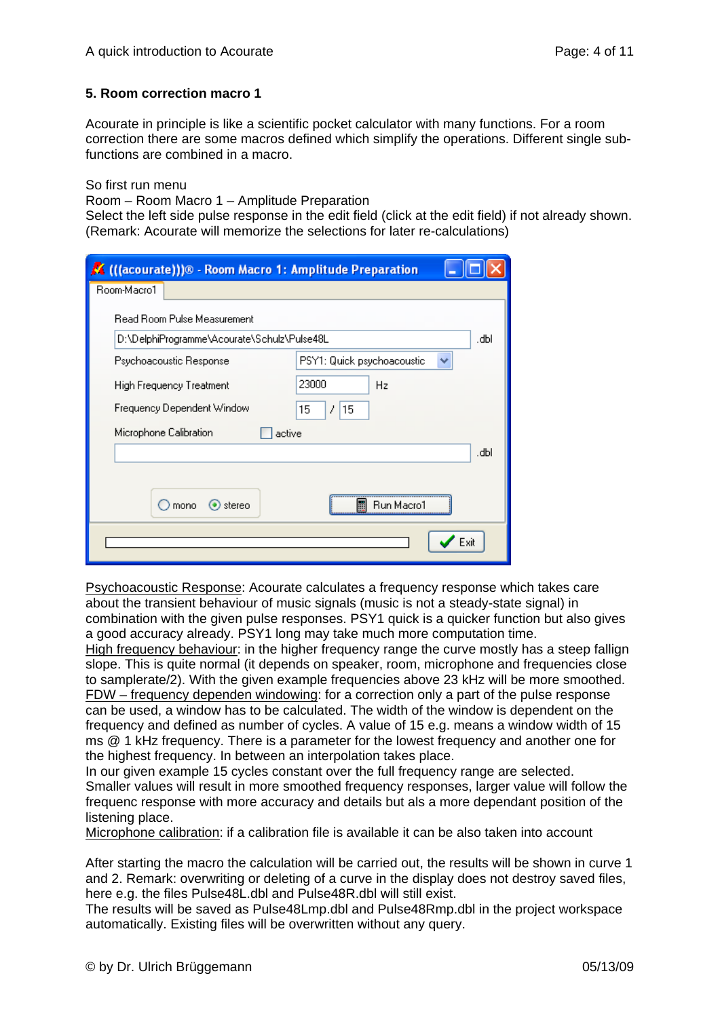### **5. Room correction macro 1**

Acourate in principle is like a scientific pocket calculator with many functions. For a room correction there are some macros defined which simplify the operations. Different single subfunctions are combined in a macro.

So first run menu

Room – Room Macro 1 – Amplitude Preparation

Select the left side pulse response in the edit field (click at the edit field) if not already shown. (Remark: Acourate will memorize the selections for later re-calculations)

| K (((acourate)))® - Room Macro 1: Amplitude Preparation |                            |
|---------------------------------------------------------|----------------------------|
| Room-Macro1                                             |                            |
| Read Room Pulse Measurement                             |                            |
| D:\DelphiProgramme\Acourate\Schulz\Pulse48L             | dЫ.                        |
| Psychoacoustic Response                                 | PSY1: Quick psychoacoustic |
| High Frequency Treatment                                | 23000<br>Hz                |
| Frequency Dependent Window                              | 15<br>7<br>15              |
| Microphone Calibration<br>active                        |                            |
|                                                         | dЫ.                        |
|                                                         |                            |
| ) stereo<br>mono                                        | H<br>Run Macro1            |
|                                                         | Exit                       |

Psychoacoustic Response: Acourate calculates a frequency response which takes care about the transient behaviour of music signals (music is not a steady-state signal) in combination with the given pulse responses. PSY1 quick is a quicker function but also gives a good accuracy already. PSY1 long may take much more computation time.

High frequency behaviour: in the higher frequency range the curve mostly has a steep fallign slope. This is quite normal (it depends on speaker, room, microphone and frequencies close to samplerate/2). With the given example frequencies above 23 kHz will be more smoothed. FDW – frequency dependen windowing: for a correction only a part of the pulse response can be used, a window has to be calculated. The width of the window is dependent on the frequency and defined as number of cycles. A value of 15 e.g. means a window width of 15 ms @ 1 kHz frequency. There is a parameter for the lowest frequency and another one for the highest frequency. In between an interpolation takes place.

In our given example 15 cycles constant over the full frequency range are selected. Smaller values will result in more smoothed frequency responses, larger value will follow the frequenc response with more accuracy and details but als a more dependant position of the listening place.

Microphone calibration: if a calibration file is available it can be also taken into account

After starting the macro the calculation will be carried out, the results will be shown in curve 1 and 2. Remark: overwriting or deleting of a curve in the display does not destroy saved files, here e.g. the files Pulse48L.dbl and Pulse48R.dbl will still exist.

The results will be saved as Pulse48Lmp.dbl and Pulse48Rmp.dbl in the project workspace automatically. Existing files will be overwritten without any query.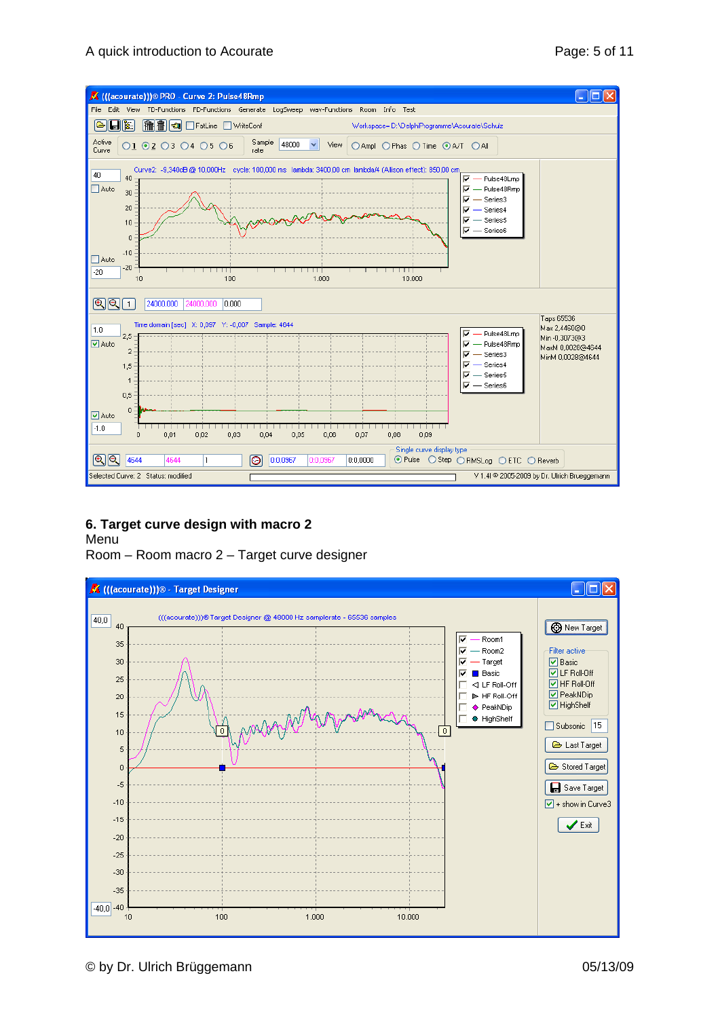

# **6. Target curve design with macro 2**

Menu

Room – Room macro 2 – Target curve designer

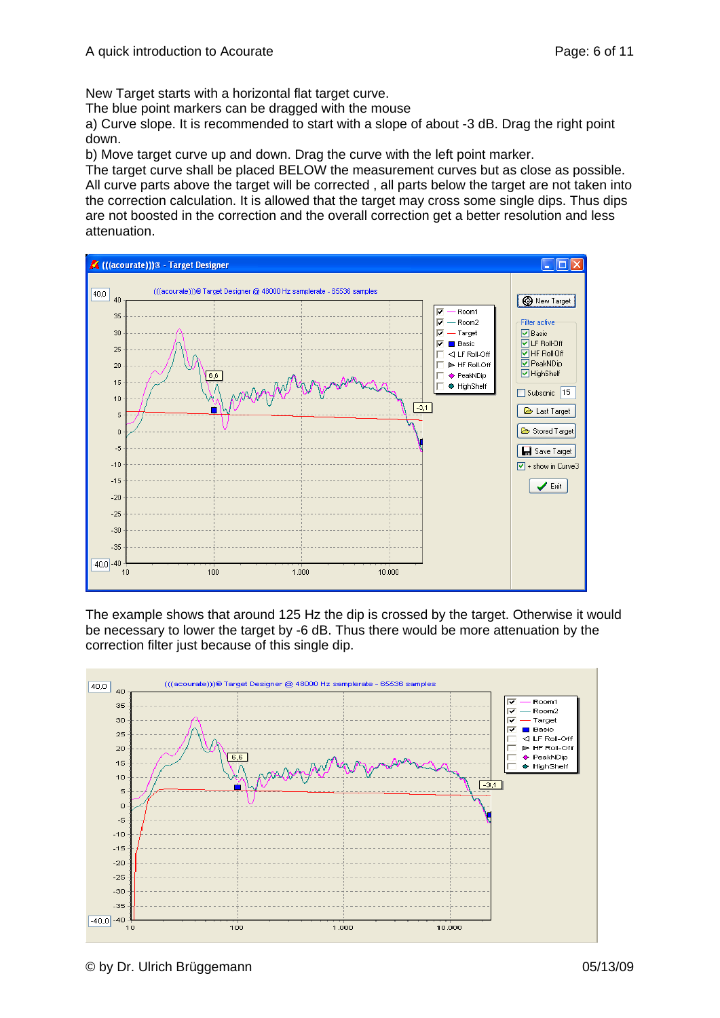New Target starts with a horizontal flat target curve.

The blue point markers can be dragged with the mouse

a) Curve slope. It is recommended to start with a slope of about -3 dB. Drag the right point down.

b) Move target curve up and down. Drag the curve with the left point marker.

The target curve shall be placed BELOW the measurement curves but as close as possible. All curve parts above the target will be corrected , all parts below the target are not taken into the correction calculation. It is allowed that the target may cross some single dips. Thus dips are not boosted in the correction and the overall correction get a better resolution and less attenuation.



The example shows that around 125 Hz the dip is crossed by the target. Otherwise it would be necessary to lower the target by -6 dB. Thus there would be more attenuation by the correction filter just because of this single dip.

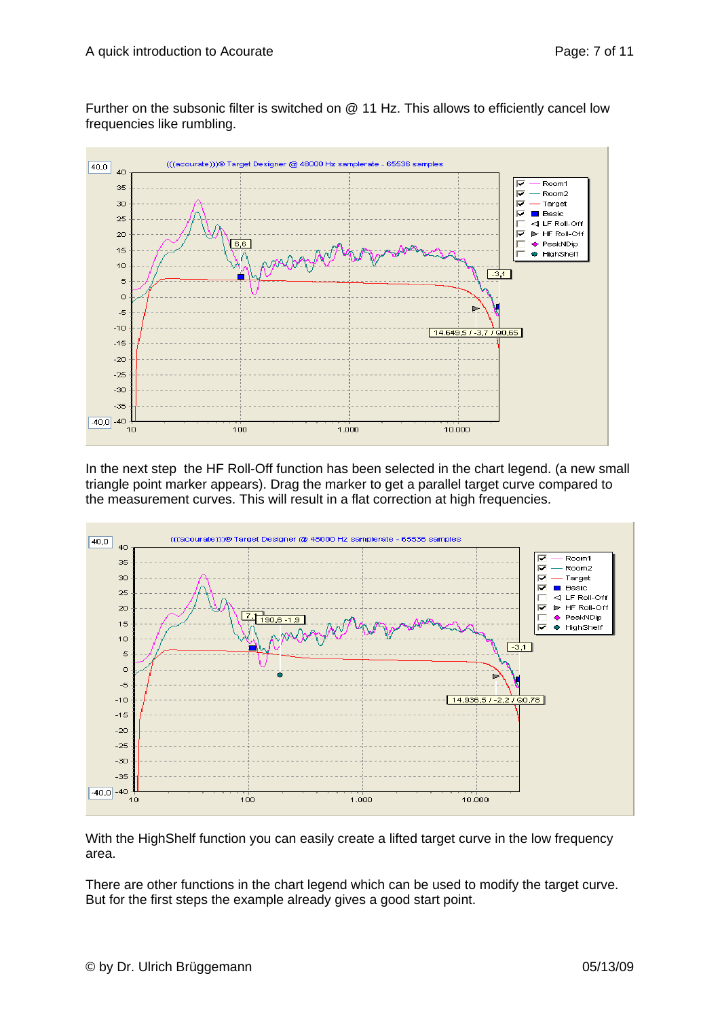Further on the subsonic filter is switched on @ 11 Hz. This allows to efficiently cancel low frequencies like rumbling.



In the next step the HF Roll-Off function has been selected in the chart legend. (a new small triangle point marker appears). Drag the marker to get a parallel target curve compared to the measurement curves. This will result in a flat correction at high frequencies.



With the HighShelf function you can easily create a lifted target curve in the low frequency area.

There are other functions in the chart legend which can be used to modify the target curve. But for the first steps the example already gives a good start point.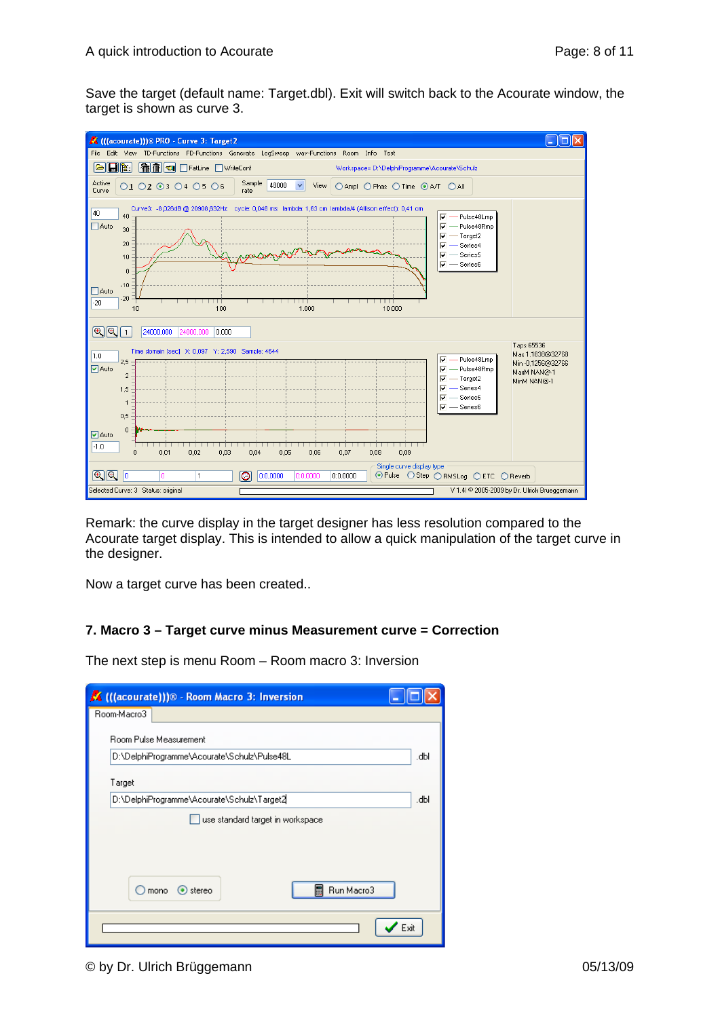Save the target (default name: Target.dbl). Exit will switch back to the Acourate window, the target is shown as curve 3.



Remark: the curve display in the target designer has less resolution compared to the Acourate target display. This is intended to allow a quick manipulation of the target curve in the designer.

Now a target curve has been created..

# **7. Macro 3 – Target curve minus Measurement curve = Correction**

The next step is menu Room – Room macro 3: Inversion

| K (((acourate)))® - Room Macro 3: Inversion |      |
|---------------------------------------------|------|
| Room-Macro3                                 |      |
| <b>Boom Pulse Measurement</b>               |      |
| D:\DelphiProgramme\Acourate\Schulz\Pulse48L | .dbl |
| Target                                      |      |
| D:\DelphiProgramme\Acourate\Schulz\Target2  | .dbl |
| use standard target in workspace            |      |
|                                             |      |
|                                             |      |
| Run Macro3<br>團<br>$\odot$ stereo<br>mono   |      |
|                                             | Exit |

#### © by Dr. Ulrich Brüggemann 05/13/09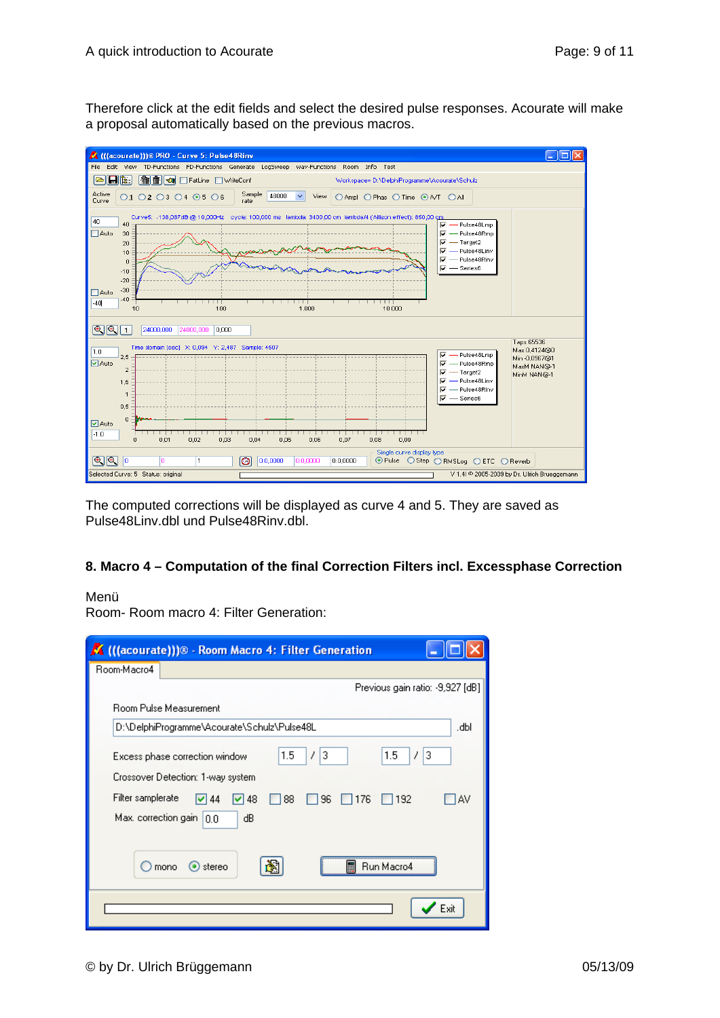Therefore click at the edit fields and select the desired pulse responses. Acourate will make a proposal automatically based on the previous macros.



The computed corrections will be displayed as curve 4 and 5. They are saved as Pulse48Linv.dbl und Pulse48Rinv.dbl.

# **8. Macro 4 – Computation of the final Correction Filters incl. Excessphase Correction**

### Menü

Room- Room macro 4: Filter Generation:

| K (((acourate)))® - Room Macro 4: Filter Generation                                                                                          |
|----------------------------------------------------------------------------------------------------------------------------------------------|
| Room-Macro4                                                                                                                                  |
| Previous gain ratio: -9,927 [dB]                                                                                                             |
| <b>Boom Pulse Measurement</b>                                                                                                                |
| D:\DelphiProgramme\Acourate\Schulz\Pulse48L<br>JЫ.                                                                                           |
| 3<br>1.5<br>7<br>1.5<br>3<br>7<br>Excess phase correction window<br>Crossover Detection: 1-way system.                                       |
| Filter samplerate<br>$\nabla$ 48<br>96<br>$\Box$ 176<br>$\Box$ 192<br>$\triangleright$ 44<br>88<br>'AV<br>Max. correction gain $ 0,0 $<br>dВ |
| ⊙ stereo<br>mono<br>Run Macro4                                                                                                               |
| Exit                                                                                                                                         |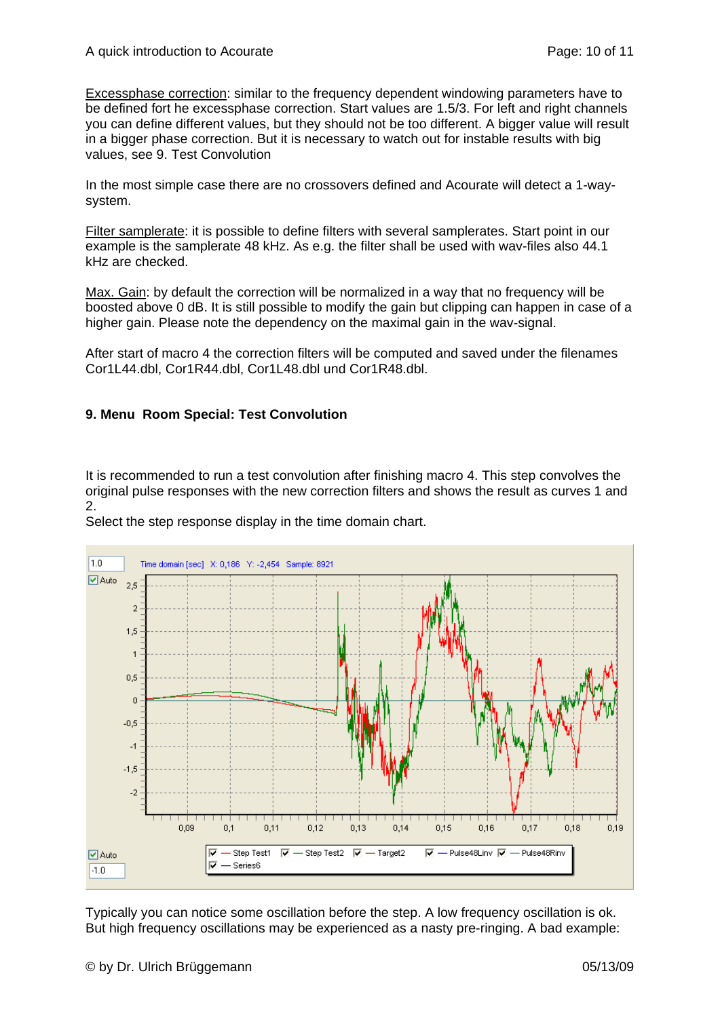Excessphase correction: similar to the frequency dependent windowing parameters have to be defined fort he excessphase correction. Start values are 1.5/3. For left and right channels you can define different values, but they should not be too different. A bigger value will result in a bigger phase correction. But it is necessary to watch out for instable results with big values, see 9. Test Convolution

In the most simple case there are no crossovers defined and Acourate will detect a 1-waysystem.

Filter samplerate: it is possible to define filters with several samplerates. Start point in our example is the samplerate 48 kHz. As e.g. the filter shall be used with wav-files also 44.1 kHz are checked.

Max. Gain: by default the correction will be normalized in a way that no frequency will be boosted above 0 dB. It is still possible to modify the gain but clipping can happen in case of a higher gain. Please note the dependency on the maximal gain in the wav-signal.

After start of macro 4 the correction filters will be computed and saved under the filenames Cor1L44.dbl, Cor1R44.dbl, Cor1L48.dbl und Cor1R48.dbl.

## **9. Menu Room Special: Test Convolution**

It is recommended to run a test convolution after finishing macro 4. This step convolves the original pulse responses with the new correction filters and shows the result as curves 1 and 2.

Select the step response display in the time domain chart.



Typically you can notice some oscillation before the step. A low frequency oscillation is ok. But high frequency oscillations may be experienced as a nasty pre-ringing. A bad example: